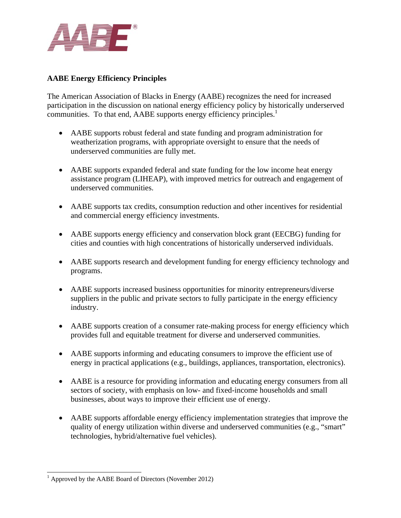

## **AABE Energy Efficiency Principles**

The American Association of Blacks in Energy (AABE) recognizes the need for increased participation in the discussion on national energy efficiency policy by historically underserved communities. To that end, AABE supports energy efficiency principles.<sup>1</sup>

- AABE supports robust federal and state funding and program administration for weatherization programs, with appropriate oversight to ensure that the needs of underserved communities are fully met.
- AABE supports expanded federal and state funding for the low income heat energy assistance program (LIHEAP), with improved metrics for outreach and engagement of underserved communities.
- AABE supports tax credits, consumption reduction and other incentives for residential and commercial energy efficiency investments.
- AABE supports energy efficiency and conservation block grant (EECBG) funding for cities and counties with high concentrations of historically underserved individuals.
- AABE supports research and development funding for energy efficiency technology and programs.
- AABE supports increased business opportunities for minority entrepreneurs/diverse suppliers in the public and private sectors to fully participate in the energy efficiency industry.
- AABE supports creation of a consumer rate-making process for energy efficiency which provides full and equitable treatment for diverse and underserved communities.
- AABE supports informing and educating consumers to improve the efficient use of energy in practical applications (e.g., buildings, appliances, transportation, electronics).
- AABE is a resource for providing information and educating energy consumers from all sectors of society, with emphasis on low- and fixed-income households and small businesses, about ways to improve their efficient use of energy.
- AABE supports affordable energy efficiency implementation strategies that improve the quality of energy utilization within diverse and underserved communities (e.g., "smart" technologies, hybrid/alternative fuel vehicles).

<sup>&</sup>lt;sup>1</sup> Approved by the AABE Board of Directors (November 2012)